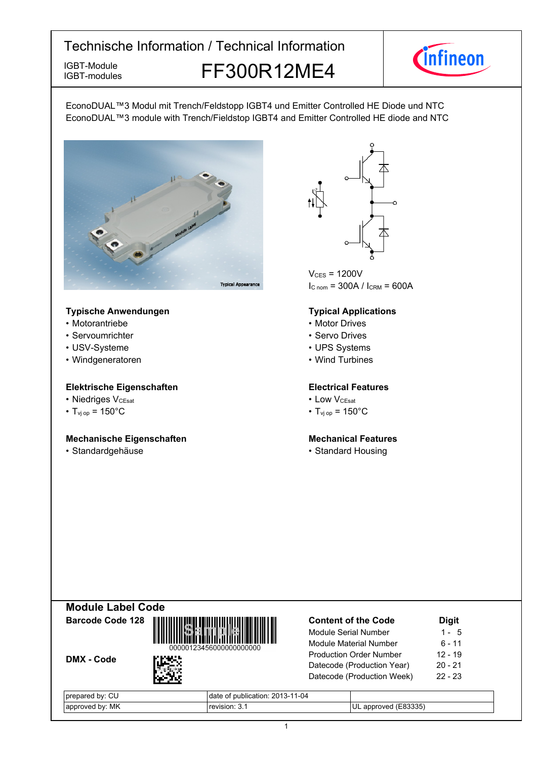IGBT-modules

IGBT-Module<br>IGBT-modules FF300R12ME4



EconoDUAL™3 Modul mit Trench/Feldstopp IGBT4 und Emitter Controlled HE Diode und NTC EconoDUAL™3 module with Trench/Fieldstop IGBT4 and Emitter Controlled HE diode and NTC



#### **Typische-Anwendungen Typical-**

- Motorantriebe
- Servoumrichter
- USV-Systeme
- Windgeneratoren

#### **Elektrische Eigenschaften Electrical-**

- Niedriges V<sub>CEsat</sub>
- $T_{\text{vj}}$  op = 150°C T<sub>vj</sub>

#### **Mechanische Eigenschaften Mechanical-**

• Standardgehäuse



 $V_{CES}$  = 1200V  $I_{C \text{ nom}} = 300A / I_{CRM} = 600A$ 

#### **Typical Applications**

- Motor Drives
- Servo Drives
- UPS Systems
- Wind Turbines

#### **Electrical Features**

- $V_{\text{CEsat}}$  Low  $V_{\text{CEsat}}$ 
	- $_{\text{op}}$  = 150°C

#### **Mechanical Features**

• Standard Housing









| $\sim$<br>bv:<br>  prepare<br>◡└ | 1-04<br>oublication: 201<br>ا -10<br>O |                                   |
|----------------------------------|----------------------------------------|-----------------------------------|
| МK<br>hv.<br>  approve           |                                        | $\bigcap$<br>. OVAC<br>'∪∟<br>anr |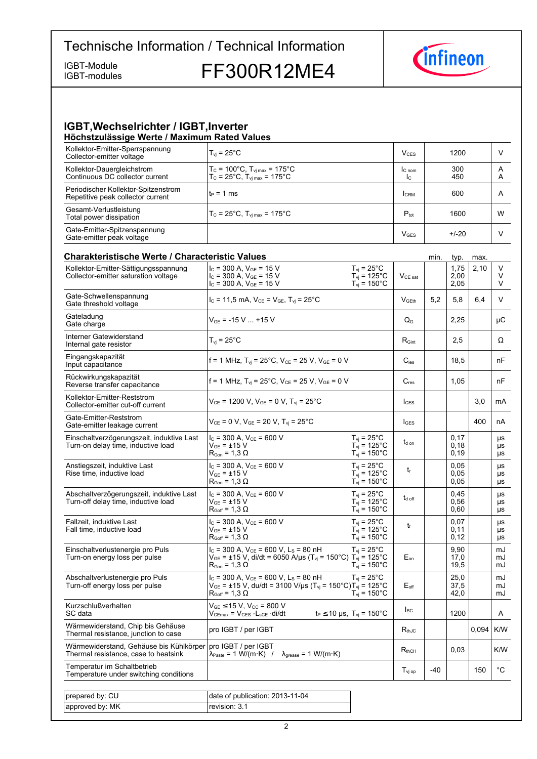IGBT-modules

IGBT-Module<br>IGBT-modules FF300R12ME4



#### **IGBT, Wechselrichter / IGBT, Inverter Höchstzulässige-Werte-/-Maximum-Rated-Values**

| Kollektor-Emitter-Sperrspannung<br>Collector-emitter voltage             | $T_{vi}$ = 25°C.                                                                                                | V <sub>CES</sub>         | 1200       |        |
|--------------------------------------------------------------------------|-----------------------------------------------------------------------------------------------------------------|--------------------------|------------|--------|
| Kollektor-Dauergleichstrom<br>Continuous DC collector current            | $T_c = 100^{\circ}$ C, $T_{vj \, max} = 175^{\circ}$ C<br>$T_c = 25^{\circ}$ C, $T_{vj \, max} = 175^{\circ}$ C | IC <sub>nom</sub><br>Ic. | 300<br>450 | A<br>A |
| Periodischer Kollektor-Spitzenstrom<br>Repetitive peak collector current | lt∍ = 1 ms                                                                                                      | <b>CRM</b>               | 600        | A      |
| Gesamt-Verlustleistung<br>Total power dissipation                        | $T_c = 25^{\circ}$ C, $T_{\text{vi max}} = 175^{\circ}$ C                                                       | $P_{\text{tot}}$         | 1600       | W      |
| Gate-Emitter-Spitzenspannung<br>Gate-emitter peak voltage                |                                                                                                                 | <b>V<sub>GES</sub></b>   | $+/-20$    |        |

| <b>Charakteristische Werte / Characteristic Values</b>                          |                                                                                                                                                                                                |                                                                                      |                           | min.  | typ.                 | max.  |                       |
|---------------------------------------------------------------------------------|------------------------------------------------------------------------------------------------------------------------------------------------------------------------------------------------|--------------------------------------------------------------------------------------|---------------------------|-------|----------------------|-------|-----------------------|
| Kollektor-Emitter-Sättigungsspannung<br>Collector-emitter saturation voltage    | $I_C$ = 300 A, $V_{GE}$ = 15 V<br>$I_c$ = 300 A, $V_{GE}$ = 15 V<br>$I_c$ = 300 A, $V_{GE}$ = 15 V                                                                                             | $T_{vi}$ = 25 $^{\circ}$ C<br>$T_{\text{vj}}$ = 125°C<br>$T_{vi}$ = 150 $^{\circ}$ C | $V_{CE\ sat}$             |       | 1,75<br>2,00<br>2,05 | 2,10  | V<br>V<br>V           |
| Gate-Schwellenspannung<br>Gate threshold voltage                                | $I_C = 11,5$ mA, $V_{CE} = V_{GE}$ , $T_{vi} = 25^{\circ}$ C                                                                                                                                   |                                                                                      | V <sub>GEth</sub>         | 5,2   | 5,8                  | 6,4   | V                     |
| Gateladung<br>Gate charge                                                       | $V_{GF}$ = -15 V  +15 V                                                                                                                                                                        |                                                                                      | $\mathsf{Q}_{\mathsf{G}}$ |       | 2,25                 |       | μC                    |
| Interner Gatewiderstand<br>Internal gate resistor                               | $T_{vi}$ = 25°C                                                                                                                                                                                |                                                                                      | $R_{\text{Gint}}$         |       | 2,5                  |       | Ω                     |
| Eingangskapazität<br>Input capacitance                                          | f = 1 MHz, $T_{vi}$ = 25°C, $V_{CE}$ = 25 V, $V_{GE}$ = 0 V                                                                                                                                    |                                                                                      | $C_{\text{ies}}$          |       | 18,5                 |       | nF                    |
| Rückwirkungskapazität<br>Reverse transfer capacitance                           | f = 1 MHz, $T_{vi}$ = 25°C, $V_{CE}$ = 25 V, $V_{GE}$ = 0 V                                                                                                                                    |                                                                                      | $C_{res}$                 |       | 1,05                 |       | nF                    |
| Kollektor-Emitter-Reststrom<br>Collector-emitter cut-off current                | $V_{CE}$ = 1200 V, $V_{GE}$ = 0 V, $T_{vi}$ = 25°C                                                                                                                                             |                                                                                      | $l_{\text{CES}}$          |       |                      | 3,0   | mA                    |
| Gate-Emitter-Reststrom<br>Gate-emitter leakage current                          | $V_{CE}$ = 0 V, $V_{GE}$ = 20 V, $T_{vi}$ = 25°C                                                                                                                                               |                                                                                      | $I_{\text{GES}}$          |       |                      | 400   | nA                    |
| Einschaltverzögerungszeit, induktive Last<br>Turn-on delay time, inductive load | $I_C$ = 300 A, $V_{CE}$ = 600 V<br>$V_{GE}$ = ±15 V<br>$R_{\text{Gon}} = 1,3 \Omega$                                                                                                           | $T_{\rm vj}$ = 25°C<br>$T_{vi}$ = 125°C<br>$T_{vi} = 150^{\circ}$ C                  | $t_{d}$ on                |       | 0.17<br>0,18<br>0,19 |       | μs<br>μs<br>μs        |
| Anstiegszeit, induktive Last<br>Rise time, inductive load                       | $I_c$ = 300 A, $V_{CE}$ = 600 V<br>$V_{GE}$ = $\pm$ 15 V<br>$\mathsf{R}_{\mathsf{Gon}}$ = 1.3 $\Omega$                                                                                         | $T_{vi}$ = 25 $^{\circ}$ C<br>$T_{vi}$ = 125°C<br>$T_{vi}$ = 150 $^{\circ}$ C        | $t_{r}$                   |       | 0.05<br>0.05<br>0.05 |       | μs<br>μs<br>μs        |
| Abschaltverzögerungszeit, induktive Last<br>Turn-off delay time, inductive load | $I_c$ = 300 A, $V_{CE}$ = 600 V<br>$\rm V_{GE}$ = $\pm 15~\rm V$<br>$R_{Goff}$ = 1,3 $\Omega$                                                                                                  | $T_{vi}$ = 25°C<br>$T_{\text{vj}}$ = 125°C<br>$T_{\text{vj}}$ = 150°C                | $t_{\rm d}$ off           |       | 0.45<br>0,56<br>0,60 |       | μs<br>μs<br>μs        |
| Fallzeit, induktive Last<br>Fall time, inductive load                           | $I_c = 300$ A, $V_{ce} = 600$ V<br>V <sub>GE</sub> = ±15 V<br>$R_{\text{Goff}}$ = 1,3 $\Omega$                                                                                                 | $T_{vi}$ = 25°C<br>$T_{vi}$ = 125°C<br>$T_{\rm vj} = 150^{\circ}$ C                  | $t_{\rm f}$               |       | 0.07<br>0,11<br>0,12 |       | <b>US</b><br>μs<br>μs |
| Einschaltverlustenergie pro Puls<br>Turn-on energy loss per pulse               | $I_c$ = 300 A, $V_{CE}$ = 600 V, L <sub>s</sub> = 80 nH<br>$V_{GE}$ = ±15 V, di/dt = 6050 A/µs (T <sub>vi</sub> = 150°C) T <sub>vi</sub> = 125°C<br>$\rm R_{Gon}$ = 1,3 $\Omega$               | $T_{vi}$ = 25°C<br>$T_{\rm vj} = 150^{\circ}$ C                                      | $E_{on}$                  |       | 9,90<br>17,0<br>19,5 |       | mJ<br>mJ<br>mJ        |
| Abschaltverlustenergie pro Puls<br>Turn-off energy loss per pulse               | $I_c$ = 300 A, $V_{CE}$ = 600 V, L <sub>S</sub> = 80 nH<br>$V_{GE}$ = ±15 V, du/dt = 3100 V/µs (T <sub>vj</sub> = 150°C)T <sub>vj</sub> = 125°C<br>$\mathsf{R}_{\mathsf{Goff}}$ = 1,3 $\Omega$ | $T_{vi}$ = 25°C<br>$T_{\text{vj}}$ = 150°C                                           | $E_{\text{off}}$          |       | 25,0<br>37,5<br>42,0 |       | mJ<br>mJ<br>mJ        |
| Kurzschlußverhalten<br>SC data                                                  | $V_{GE}$ $\leq$ 15 V, V <sub>CC</sub> = 800 V<br>$V_{CEmax}$ = $V_{CES}$ - $L_{sCE}$ ·di/dt                                                                                                    | $t_P \le 10 \,\mu s$ , $T_{vi} = 150^{\circ}C$                                       | lsc.                      |       | 1200                 |       | A                     |
| Wärmewiderstand, Chip bis Gehäuse<br>Thermal resistance, junction to case       | pro IGBT / per IGBT                                                                                                                                                                            |                                                                                      | $R_{thJC}$                |       |                      | 0.094 | K/W                   |
| Wärmewiderstand, Gehäuse bis Kühlkörper<br>Thermal resistance, case to heatsink | pro IGBT / per IGBT<br>$\lambda_{\text{Paste}} = 1 \text{ W/(m} \cdot \text{K)}$ / $\lambda_{\text{grease}} = 1 \text{ W/(m} \cdot \text{K)}$                                                  |                                                                                      | $R_{thCH}$                |       | 0,03                 |       | K/W                   |
| Temperatur im Schaltbetrieb<br>Temperature under switching conditions           |                                                                                                                                                                                                |                                                                                      | $T_{\rm vi\,op}$          | $-40$ |                      | 150   | $^{\circ}$ C          |
|                                                                                 |                                                                                                                                                                                                |                                                                                      |                           |       |                      |       |                       |
| prepared by: CU                                                                 | date of publication: 2013-11-04                                                                                                                                                                |                                                                                      |                           |       |                      |       |                       |
| approved by: MK                                                                 | revision: 3.1                                                                                                                                                                                  |                                                                                      |                           |       |                      |       |                       |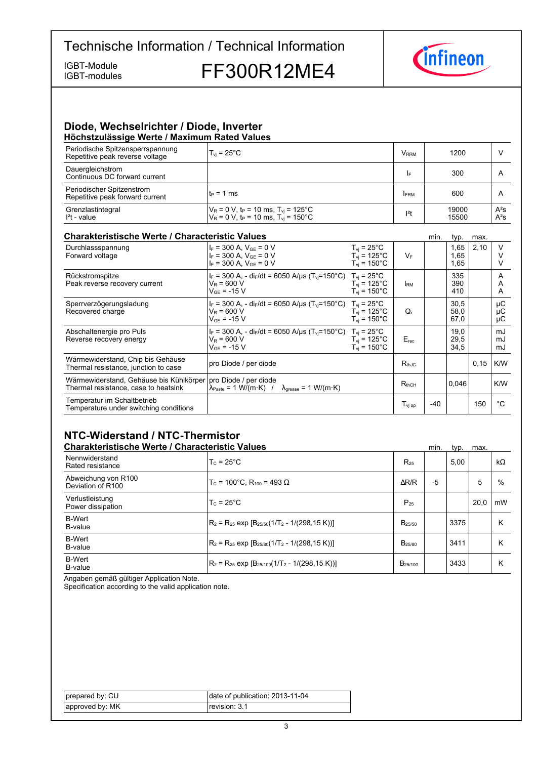IGBT-modules

IGBT-Module<br>IGBT-modules FF300R12ME4



#### **Diode,-Wechselrichter-/-Diode,-Inverter Höchstzulässige-Werte-/-Maximum-Rated-Values**

| Periodische Spitzensperrspannung<br>Repetitive peak reverse voltage | $T_{vi}$ = 25°C                                                                                                              | <b>V</b> <sub>RRM</sub> | 1200           |                  |  |
|---------------------------------------------------------------------|------------------------------------------------------------------------------------------------------------------------------|-------------------------|----------------|------------------|--|
| Dauergleichstrom<br>Continuous DC forward current                   |                                                                                                                              | I۴                      | 300            |                  |  |
| Periodischer Spitzenstrom<br>Repetitive peak forward current        | l t∍ = 1 ms                                                                                                                  | <b>FRM</b>              | 600            |                  |  |
| Grenzlastintegral<br>$l2t$ - value                                  | $V_R$ = 0 V, t <sub>P</sub> = 10 ms, T <sub>vi</sub> = 125°C<br>$V_R$ = 0 V, t <sub>P</sub> = 10 ms, T <sub>y</sub> = 150 °C | $12$ t                  | 19000<br>15500 | $A^2S$<br>$A^2S$ |  |

#### **Charakteristische Werte / Characteristic**

| <b>Charakteristische Werte / Characteristic Values</b>                                                  |                                                                                                                                       |                                                                                      |                   | min.  | typ.                 | max. |                |
|---------------------------------------------------------------------------------------------------------|---------------------------------------------------------------------------------------------------------------------------------------|--------------------------------------------------------------------------------------|-------------------|-------|----------------------|------|----------------|
| Durchlassspannung<br>Forward voltage                                                                    | $I_F = 300$ A, $V_{GF} = 0$ V<br>$I_F = 300$ A, $V_{GF} = 0$ V<br>$I_F = 300$ A, $V_{GE} = 0$ V                                       | $T_{vi}$ = 25 $^{\circ}$ C<br>$T_{vi}$ = 125°C<br>$T_{\text{vi}}$ = 150 $^{\circ}$ C | $V_F$             |       | 1,65<br>1.65<br>1,65 | 2,10 |                |
| Rückstromspitze<br>Peak reverse recovery current                                                        | $I_F = 300$ A, - di <sub>F</sub> /dt = 6050 A/us (T <sub>vi</sub> =150°C) T <sub>vi</sub> = 25°C<br>$V_R = 600 V$<br>$V_{GF}$ = -15 V | $T_{\rm vi}$ = 125°C<br>$T_{\rm vi}$ = 150°C                                         | <b>IRM</b>        |       | 335<br>390<br>410    |      | A<br>A<br>A    |
| Sperrverzögerungsladung<br>Recovered charge                                                             | $I_F = 300$ A, - dir/dt = 6050 A/us (T <sub>vi</sub> =150°C) T <sub>vi</sub> = 25°C<br>$V_R = 600 V$<br>$V_{GF}$ = -15 V              | $T_{\rm vi}$ = 125°C<br>$T_{vi}$ = 150 $^{\circ}$ C                                  | Q,                |       | 30.5<br>58,0<br>67.0 |      | μC<br>μC<br>μC |
| Abschaltenergie pro Puls<br>Reverse recovery energy                                                     | $I_F = 300$ A, - di <sub>F</sub> /dt = 6050 A/us (T <sub>vi</sub> =150°C) T <sub>vi</sub> = 25°C<br>$V_R$ = 600 V<br>$V_{GF}$ = -15 V | $T_{vi}$ = 125°C<br>$T_{\rm vi}$ = 150 $^{\circ}$ C                                  | $E_{rec}$         |       | 19,0<br>29,5<br>34,5 |      | mJ<br>mJ<br>mJ |
| Wärmewiderstand, Chip bis Gehäuse<br>Thermal resistance, junction to case                               | pro Diode / per diode                                                                                                                 |                                                                                      | $R_{thJC}$        |       |                      | 0,15 | K/W            |
| Wärmewiderstand, Gehäuse bis Kühlkörper   pro Diode / per diode<br>Thermal resistance, case to heatsink | $\lambda_{\text{Paste}} = 1 \text{ W/(m·K)}$ / $\lambda_{\text{grease}} = 1 \text{ W/(m·K)}$                                          |                                                                                      | $R_{thCH}$        |       | 0.046                |      | K/W            |
| Temperatur im Schaltbetrieb<br>Temperature under switching conditions                                   |                                                                                                                                       |                                                                                      | $T_{\rm vi\, oo}$ | $-40$ |                      | 150  | °€             |

## **NTC-Widerstand-/-NTC-Thermistor**

| <b>Charakteristische Werte / Characteristic Values</b> |                                                          |                     | min. | typ. | max. |           |
|--------------------------------------------------------|----------------------------------------------------------|---------------------|------|------|------|-----------|
| Nennwiderstand<br>Rated resistance                     | $T_c = 25^{\circ}$ C                                     | $R_{25}$            |      | 5.00 |      | $k\Omega$ |
| Abweichung von R100<br>Deviation of R100               | $T_c$ = 100°C. R <sub>100</sub> = 493 Ω                  | $\Delta$ R/R        | -5   |      | 5    | $\%$      |
| Verlustleistung<br>Power dissipation                   | $T_c = 25^{\circ}$ C                                     | $P_{25}$            |      |      | 20.0 | mW        |
| <b>B-Wert</b><br>B-value                               | $R_2 = R_{25}$ exp $[B_{25/50}(1/T_2 - 1/(298, 15 K))]$  | $B_{25/50}$         |      | 3375 |      | К         |
| <b>B-Wert</b><br>B-value                               | $R_2 = R_{25}$ exp $[B_{25/80}(1/T_2 - 1/(298.15 K))]$   | B <sub>25/80</sub>  |      | 3411 |      | К         |
| <b>B-Wert</b><br>B-value                               | $R_2 = R_{25}$ exp $[B_{25/100}(1/T_2 - 1/(298, 15 K))]$ | B <sub>25/100</sub> |      | 3433 |      | К         |

Angaben gemäß gültiger Application Note.

Specification according to the valid application note.

| prepared by: CU | date of publication: 2013-11-04 |
|-----------------|---------------------------------|
| approved by: MK | revision: 3.1                   |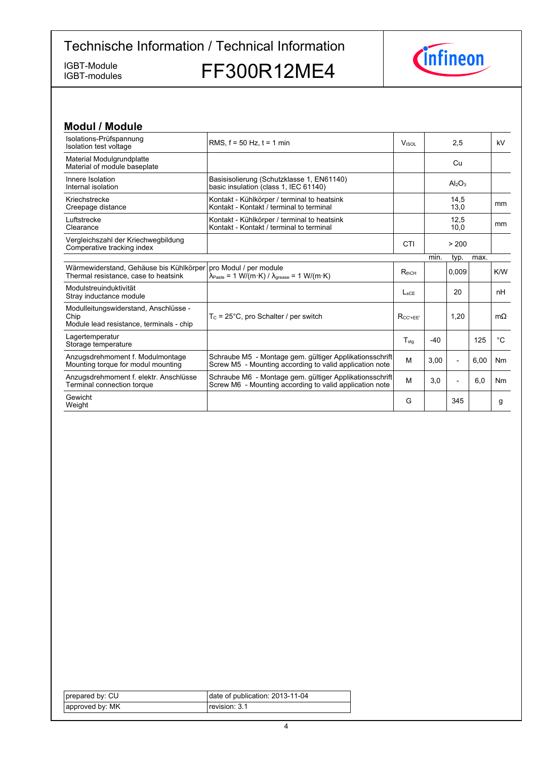IGBT-modules

IGBT-Module<br>IGBT-modules FF300R12ME4



| <b>Modul / Module</b>                                                                     |                                                                                                                                                |                  |       |                                |      |           |
|-------------------------------------------------------------------------------------------|------------------------------------------------------------------------------------------------------------------------------------------------|------------------|-------|--------------------------------|------|-----------|
| Isolations-Prüfspannung<br>Isolation test voltage                                         | RMS, $f = 50$ Hz, $t = 1$ min                                                                                                                  | <b>VISOL</b>     |       | 2,5                            |      | kV        |
| Material Modulgrundplatte<br>Material of module baseplate                                 |                                                                                                                                                |                  |       | Cu                             |      |           |
| Innere Isolation<br>Internal isolation                                                    | Basisisolierung (Schutzklasse 1, EN61140)<br>basic insulation (class 1, IEC 61140)                                                             |                  |       | Al <sub>2</sub> O <sub>3</sub> |      |           |
| Kriechstrecke<br>Creepage distance                                                        | Kontakt - Kühlkörper / terminal to heatsink<br>Kontakt - Kontakt / terminal to terminal                                                        |                  |       | 14,5<br>13,0                   |      | mm        |
| Luftstrecke<br>Clearance                                                                  | Kontakt - Kühlkörper / terminal to heatsink<br>Kontakt - Kontakt / terminal to terminal                                                        |                  |       | 12,5<br>10,0                   |      | mm        |
| Vergleichszahl der Kriechwegbildung<br>Comperative tracking index                         |                                                                                                                                                | CTI              |       | > 200                          |      |           |
|                                                                                           |                                                                                                                                                |                  | min.  | typ.                           | max. |           |
| Wärmewiderstand, Gehäuse bis Kühlkörper<br>Thermal resistance, case to heatsink           | pro Modul / per module<br>$\lambda_{\text{Paste}} = 1 \text{ W/(m} \cdot \text{K)} / \lambda_{\text{grease}} = 1 \text{ W/(m} \cdot \text{K)}$ | $R_{thCH}$       |       | 0.009                          |      | K/W       |
| Modulstreuinduktivität<br>Stray inductance module                                         |                                                                                                                                                | $L_{\text{sCE}}$ |       | 20                             |      | nH        |
| Modulleitungswiderstand, Anschlüsse -<br>Chip<br>Module lead resistance, terminals - chip | $T_c = 25^{\circ}$ C, pro Schalter / per switch                                                                                                | $R_{CC' + FF'}$  |       | 1,20                           |      | $m\Omega$ |
| Lagertemperatur<br>Storage temperature                                                    |                                                                                                                                                | $T_{\text{stg}}$ | $-40$ |                                | 125  | °C        |
| Anzugsdrehmoment f. Modulmontage<br>Mounting torque for modul mounting                    | Schraube M5 - Montage gem. gültiger Applikationsschrift<br>Screw M5 - Mounting according to valid application note                             | M                | 3,00  | $\overline{\phantom{a}}$       | 6.00 | Nm        |
| Anzugsdrehmoment f. elektr. Anschlüsse<br>Terminal connection torque                      | Schraube M6 - Montage gem. gültiger Applikationsschrift<br>Screw M6 - Mounting according to valid application note                             | M                | 3,0   | $\overline{a}$                 | 6,0  | Nm        |
| Gewicht<br>Weight                                                                         |                                                                                                                                                | G                |       | 345                            |      | g         |

| prepared by: CU | date of publication: 2013-11-04 |
|-----------------|---------------------------------|
| approved by: MK | revision: 3.1                   |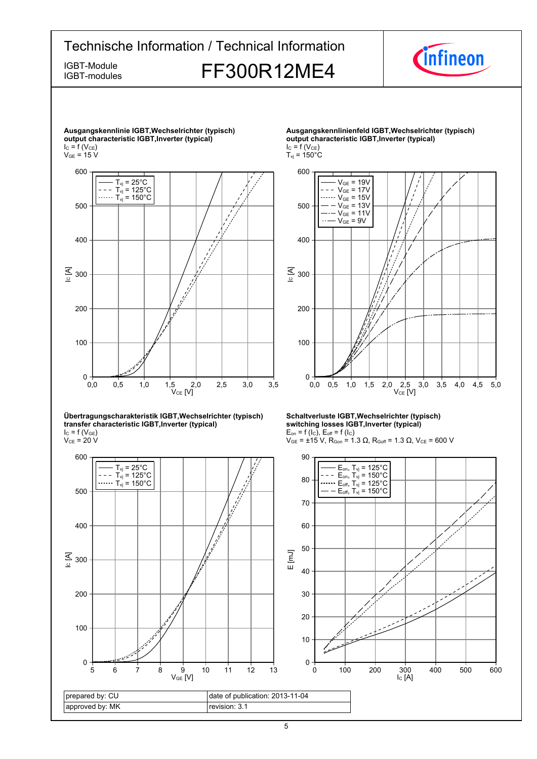

**Übertragungscharakteristik-IGBT,Wechselrichter-(typisch) transfer-characteristic-IGBT,Inverter-(typical)**  $I_{C}$  = f (V<sub>GE</sub>)

 $\rm V_{CE}$  = 20 V



**Schaltverluste-IGBT,Wechselrichter-(typisch) switching-losses-IGBT,Inverter-(typical)**  $E_{on}$  = f (l<sub>C</sub>),  $E_{off}$  = f (l<sub>C</sub>)

 $V_{GE}$  = ±15 V, R<sub>Gon</sub> = 1.3 Ω, R<sub>Goff</sub> = 1.3 Ω, V<sub>CE</sub> = 600 V



5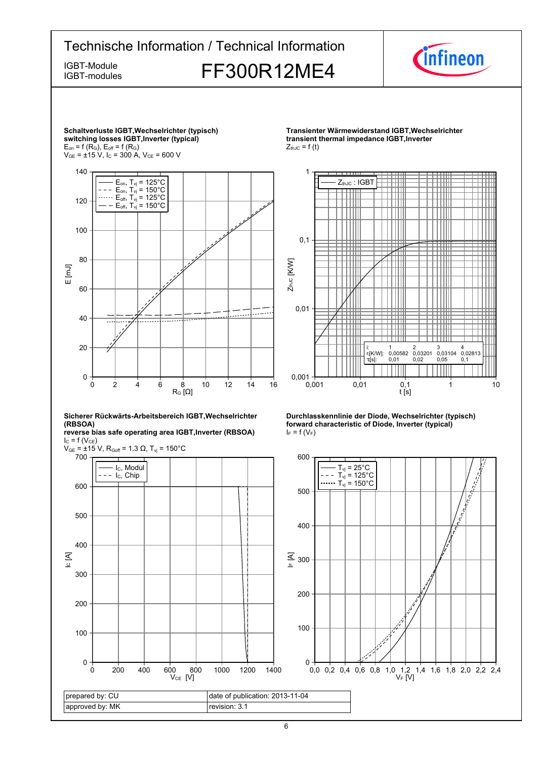





**Transienter-Wärmewiderstand-IGBT,Wechselrichtertransient thermal impedance IGBT, Inverter**  $Z_{thJC} = f(t)$ 





**reverse-bias-safe-operating-area-IGBT,Inverter-(RBSOA)**  $I_{C}$  = f (V<sub>CE</sub>)



**Durchlasskennlinie der Diode, Wechselrichter (typisch) forward characteristic of Diode, Inverter (typical)**  $I_F = f(V_F)$ 

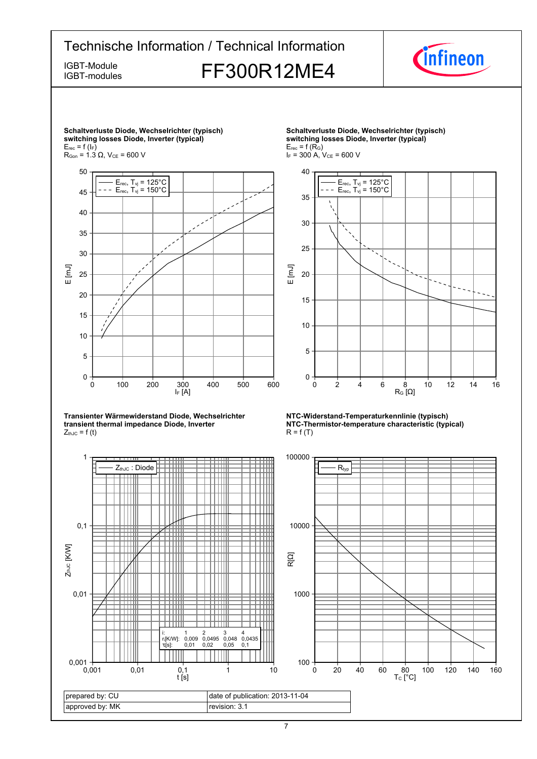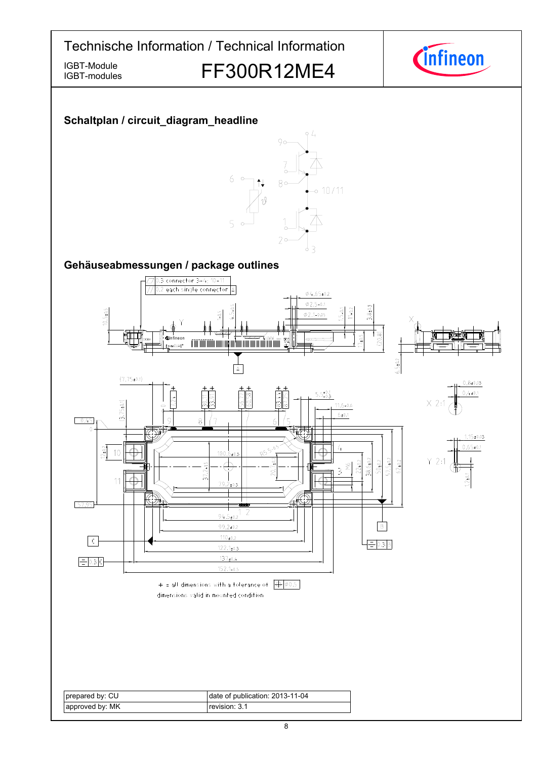

IGBT-Module<br>IGBT-modules FF300R12ME4



## **Schaltplan-/-circuit\_diagram\_headline**

IGBT-modules



### Gehäuseabmessungen / package outlines